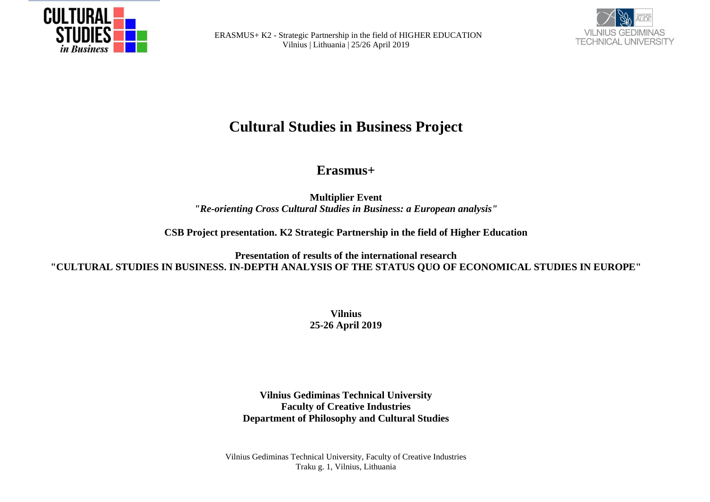



# **Cultural Studies in Business Project**

## **Erasmus+**

**Multiplier Event** *"Re-orienting Cross Cultural Studies in Business: a European analysis"*

**CSB Project presentation. K2 Strategic Partnership in the field of Higher Education**

**Presentation of results of the international research "CULTURAL STUDIES IN BUSINESS. IN-DEPTH ANALYSIS OF THE STATUS QUO OF ECONOMICAL STUDIES IN EUROPE"**

> **Vilnius 25-26 April 2019**

**Vilnius Gediminas Technical University Faculty of Creative Industries Department of Philosophy and Cultural Studies**

Vilnius Gediminas Technical University, Faculty of Creative Industries Traku g. 1, Vilnius, Lithuania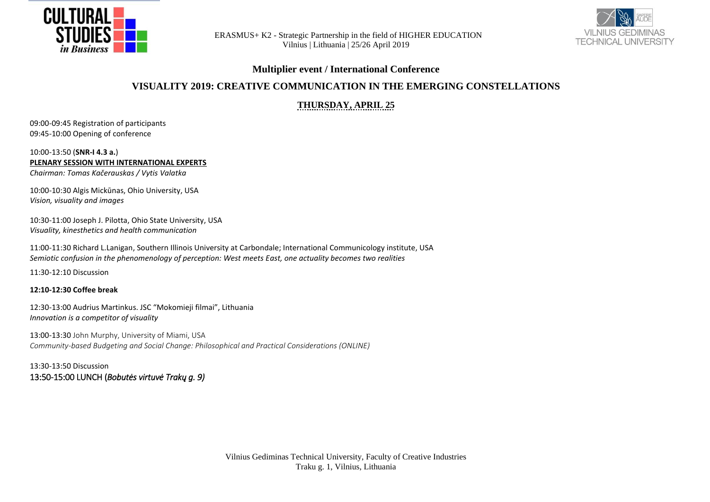



#### **Multiplier event / International Conference**

## **VISUALITY 2019: CREATIVE COMMUNICATION IN THE EMERGING CONSTELLATIONS**

## **THURSDAY, APRIL 25**

09:00-09:45 Registration of participants 09:45-10:00 Opening of conference

#### 10:00-13:50 (**SNR-I 4.3 a.**) **PLENARY SESSION WITH INTERNATIONAL EXPERTS**

*Chairman: Tomas Kačerauskas / Vytis Valatka*

10:00-10:30 Algis Mickūnas, Ohio University, USA *Vision, visuality and images*

10:30-11:00 Joseph J. Pilotta, Ohio State University, USA *Visuality, kinesthetics and health communication*

11:00-11:30 Richard L.Lanigan, Southern Illinois University at Carbondale; International Communicology institute, USA *Semiotic confusion in the phenomenology of perception: West meets East, one actuality becomes two realities*

11:30-12:10 Discussion

**12:10-12:30 Coffee break**

12:30-13:00 Audrius Martinkus. JSC "Mokomieji filmai", Lithuania *Innovation is a competitor of visuality*

13:00-13:30 John Murphy, University of Miami, USA *Community-based Budgeting and Social Change: Philosophical and Practical Considerations (ONLINE)*

13:30-13:50 Discussion 13:50-15:00 LUNCH (*Bobutės virtuvė Trakų g. 9)*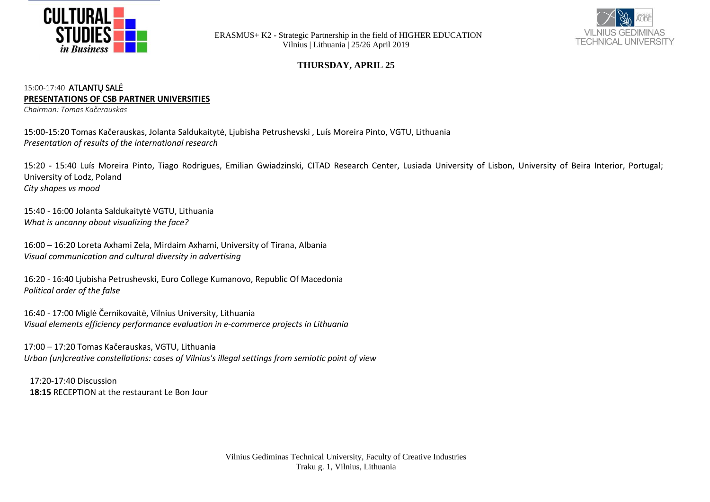



#### **THURSDAY, APRIL 25**

#### 15:00-17:40 ATLANTŲ SALĖ **PRESENTATIONS OF CSB PARTNER UNIVERSITIES**

*Chairman: Tomas Kačerauskas*

15:00-15:20 Tomas Kačerauskas, Jolanta Saldukaitytė, Ljubisha Petrushevski , Luís Moreira Pinto, VGTU, Lithuania *Presentation of results of the international research*

15:20 - 15:40 Luís Moreira Pinto, Tiago Rodrigues, Emilian Gwiadzinski, CITAD Research Center, Lusiada University of Lisbon, University of Beira Interior, Portugal; University of Lodz, Poland *City shapes vs mood*

15:40 - 16:00 Jolanta Saldukaitytė VGTU, Lithuania *What is uncanny about visualizing the face?* 

16:00 – 16:20 Loreta Axhami Zela, Mirdaim Axhami, University of Tirana, Albania *Visual communication and cultural diversity in advertising*

16:20 - 16:40 Ljubisha Petrushevski, Euro College Kumanovo, Republic Of Macedonia *Political order of the false* 

16:40 - 17:00 Miglė Černikovaitė, Vilnius University, Lithuania *Visual elements efficiency performance evaluation in e-commerce projects in Lithuania*

17:00 – 17:20 Tomas Kačerauskas, VGTU, Lithuania *Urban (un)creative constellations: cases of Vilnius's illegal settings from semiotic point of view*

17:20-17:40 Discussion **18:15** RECEPTION at the restaurant Le Bon Jour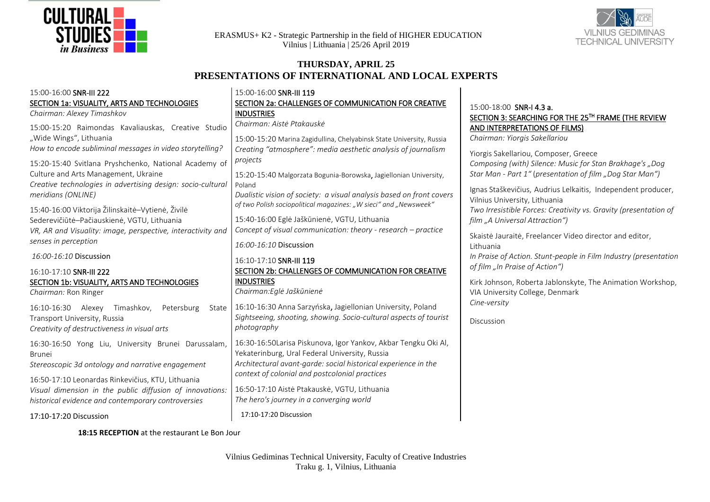



## **THURSDAY, APRIL 25 PRESENTATIONS OF INTERNATIONAL AND LOCAL EXPERTS**

| 15:00-16:00 SNR-III 222<br>SECTION 1a: VISUALITY, ARTS AND TECHNOLOGIES<br>Chairman: Alexey Timashkov<br>15:00-15:20 Raimondas Kavaliauskas, Creative Studio<br>"Wide Wings", Lithuania<br>How to encode subliminal messages in video storytelling?<br>15:20-15:40 Svitlana Pryshchenko, National Academy of<br>Culture and Arts Management, Ukraine<br>Creative technologies in advertising design: socio-cultural<br>meridians (ONLINE)<br>15:40-16:00 Viktorija Žilinskaitė-Vytienė, Živilė<br>Sederevičiūtė-Pačiauskienė, VGTU, Lithuania<br>VR, AR and Visuality: image, perspective, interactivity and<br>senses in perception<br>16:00-16:10 Discussion<br>16:10-17:10 SNR-III 222<br>SECTION 1b: VISUALITY, ARTS AND TECHNOLOGIES<br>Chairman: Ron Ringer<br>16:10-16:30 Alexey<br>Timashkov,<br>Petersburg<br>State | 15:00-16:00 SNR-III 119<br>SECTION 2a: CHALLENGES OF COMMUNICATION FOR CREATIVE<br><b>INDUSTRIES</b><br>Chairman: Aistė Ptakauskė<br>15:00-15:20 Marina Zagidullina, Chelyabinsk State University, Russia<br>Creating "atmosphere": media aesthetic analysis of journalism<br>projects<br>15:20-15:40 Malgorzata Bogunia-Borowska, Jagiellonian University,<br>Poland<br>Dualistic vision of society: a visual analysis based on front covers<br>of two Polish sociopolitical magazines: "W sieci" and "Newsweek"<br>15:40-16:00 Eglė Jaškūnienė, VGTU, Lithuania<br>Concept of visual communication: theory - research – practice<br>16:00-16:10 Discussion<br>16:10-17:10 SNR-III 119<br>SECTION 2b: CHALLENGES OF COMMUNICATION FOR CREATIVE<br><b>INDUSTRIES</b><br>Chairman: Eglė Jaškūnienė<br>16:10-16:30 Anna Sarzyńska, Jagiellonian University, Poland | 15:00-18:00 SNR-I 4.3 a.<br>SECTION 3: SEARCHING FOR THE 25TH FRAME (THE REVIEW<br>AND INTERPRETATIONS OF FILMS)<br>Chairman: Yiorgis Sakellariou<br>Yiorgis Sakellariou, Composer, Greece<br>Composing (with) Silence: Music for Stan Brakhage's "Dog<br>Star Man - Part 1" (presentation of film "Dog Star Man")<br>Ignas Staškevičius, Audrius Lelkaitis, Independent producer,<br>Vilnius University, Lithuania<br>Two Irresistible Forces: Creativity vs. Gravity (presentation of<br>film "A Universal Attraction")<br>Skaiste Jauraite, Freelancer Video director and editor,<br>Lithuania<br>In Praise of Action. Stunt-people in Film Industry (presentation<br>of film "In Praise of Action")<br>Kirk Johnson, Roberta Jablonskyte, The Animation Workshop,<br>VIA University College, Denmark<br>Cine-versity<br>Discussion |
|------------------------------------------------------------------------------------------------------------------------------------------------------------------------------------------------------------------------------------------------------------------------------------------------------------------------------------------------------------------------------------------------------------------------------------------------------------------------------------------------------------------------------------------------------------------------------------------------------------------------------------------------------------------------------------------------------------------------------------------------------------------------------------------------------------------------------|------------------------------------------------------------------------------------------------------------------------------------------------------------------------------------------------------------------------------------------------------------------------------------------------------------------------------------------------------------------------------------------------------------------------------------------------------------------------------------------------------------------------------------------------------------------------------------------------------------------------------------------------------------------------------------------------------------------------------------------------------------------------------------------------------------------------------------------------------------------|----------------------------------------------------------------------------------------------------------------------------------------------------------------------------------------------------------------------------------------------------------------------------------------------------------------------------------------------------------------------------------------------------------------------------------------------------------------------------------------------------------------------------------------------------------------------------------------------------------------------------------------------------------------------------------------------------------------------------------------------------------------------------------------------------------------------------------------|
| Transport University, Russia<br>Creativity of destructiveness in visual arts                                                                                                                                                                                                                                                                                                                                                                                                                                                                                                                                                                                                                                                                                                                                                 | Sightseeing, shooting, showing. Socio-cultural aspects of tourist<br>photography                                                                                                                                                                                                                                                                                                                                                                                                                                                                                                                                                                                                                                                                                                                                                                                 |                                                                                                                                                                                                                                                                                                                                                                                                                                                                                                                                                                                                                                                                                                                                                                                                                                        |
| 16:30-16:50 Yong Liu, University Brunei Darussalam,<br><b>Brunei</b><br>Stereoscopic 3d ontology and narrative engagement<br>16:50-17:10 Leonardas Rinkevičius, KTU, Lithuania<br>Visual dimension in the public diffusion of innovations:<br>historical evidence and contemporary controversies                                                                                                                                                                                                                                                                                                                                                                                                                                                                                                                             | 16:30-16:50Larisa Piskunova, Igor Yankov, Akbar Tengku Oki Al,<br>Yekaterinburg, Ural Federal University, Russia<br>Architectural avant-garde: social historical experience in the<br>context of colonial and postcolonial practices<br>16:50-17:10 Aiste Ptakauske, VGTU, Lithuania<br>The hero's journey in a converging world<br>17:10-17:20 Discussion                                                                                                                                                                                                                                                                                                                                                                                                                                                                                                       |                                                                                                                                                                                                                                                                                                                                                                                                                                                                                                                                                                                                                                                                                                                                                                                                                                        |
| 17:10-17:20 Discussion                                                                                                                                                                                                                                                                                                                                                                                                                                                                                                                                                                                                                                                                                                                                                                                                       |                                                                                                                                                                                                                                                                                                                                                                                                                                                                                                                                                                                                                                                                                                                                                                                                                                                                  |                                                                                                                                                                                                                                                                                                                                                                                                                                                                                                                                                                                                                                                                                                                                                                                                                                        |

**18:15 RECEPTION** at the restaurant Le Bon Jour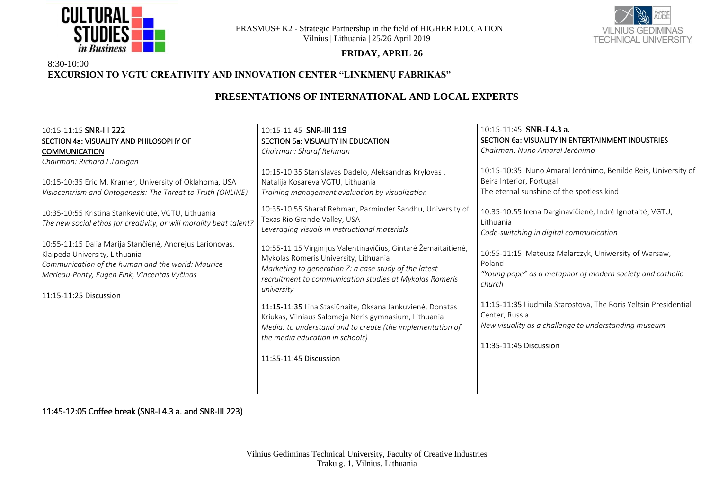



#### **FRIDAY, APRIL 26**

#### 8:30-10:00 **EXCURSION TO VGTU CREATIVITY AND INNOVATION CENTER "LINKMENŲ FABRIKAS"**

## **PRESENTATIONS OF INTERNATIONAL AND LOCAL EXPERTS**

| 10:15-11:15 SNR-III 222                                                                                                                                                                                                   | 10:15-11:45 SNR-III 119                                                                                                                                                                                                                     | 10:15-11:45 SNR-I 4.3 a.                                                                                                                                            |
|---------------------------------------------------------------------------------------------------------------------------------------------------------------------------------------------------------------------------|---------------------------------------------------------------------------------------------------------------------------------------------------------------------------------------------------------------------------------------------|---------------------------------------------------------------------------------------------------------------------------------------------------------------------|
| SECTION 4a: VISUALITY AND PHILOSOPHY OF                                                                                                                                                                                   | <b>SECTION 5a: VISUALITY IN EDUCATION</b>                                                                                                                                                                                                   | SECTION 6a: VISUALITY IN ENTERTAINMENT INDUSTRIES                                                                                                                   |
| <b>COMMUNICATION</b>                                                                                                                                                                                                      | Chairman: Sharaf Rehman                                                                                                                                                                                                                     | Chairman: Nuno Amaral Jerónimo                                                                                                                                      |
| Chairman: Richard L.Lanigan                                                                                                                                                                                               |                                                                                                                                                                                                                                             |                                                                                                                                                                     |
| 10:15-10:35 Eric M. Kramer, University of Oklahoma, USA<br>Visiocentrism and Ontogenesis: The Threat to Truth (ONLINE)                                                                                                    | 10:15-10:35 Stanislavas Dadelo, Aleksandras Krylovas,<br>Natalija Kosareva VGTU, Lithuania<br>Training management evaluation by visualization                                                                                               | 10:15-10:35 Nuno Amaral Jerónimo, Benilde Reis, University of<br>Beira Interior, Portugal<br>The eternal sunshine of the spotless kind                              |
| 10:35-10:55 Kristina Stankevičiūtė, VGTU, Lithuania<br>The new social ethos for creativity, or will morality beat talent?                                                                                                 | 10:35-10:55 Sharaf Rehman, Parminder Sandhu, University of<br>Texas Rio Grande Valley, USA<br>Leveraging visuals in instructional materials                                                                                                 | 10:35-10:55 Irena Darginavičienė, Indrė Ignotaitė, VGTU,<br>Lithuania<br>Code-switching in digital communication                                                    |
| 10:55-11:15 Dalia Marija Stančienė, Andrejus Larionovas,<br>Klaipeda University, Lithuania<br>Communication of the human and the world: Maurice<br>Merleau-Ponty, Eugen Fink, Vincentas Vyčinas<br>11:15-11:25 Discussion | 10:55-11:15 Virginijus Valentinavičius, Gintarė Žemaitaitienė,<br>Mykolas Romeris University, Lithuania<br>Marketing to generation Z: a case study of the latest<br>recruitment to communication studies at Mykolas Romeris<br>university   | 10:55-11:15 Mateusz Malarczyk, Uniwersity of Warsaw,<br>Poland<br>"Young pope" as a metaphor of modern society and catholic<br>church                               |
|                                                                                                                                                                                                                           | 11:15-11:35 Lina Stasiūnaitė, Oksana Jankuvienė, Donatas<br>Kriukas, Vilniaus Salomeja Neris gymnasium, Lithuania<br>Media: to understand and to create (the implementation of<br>the media education in schools)<br>11:35-11:45 Discussion | 11:15-11:35 Liudmila Starostova, The Boris Yeltsin Presidential<br>Center, Russia<br>New visuality as a challenge to understanding museum<br>11:35-11:45 Discussion |

11:45-12:05 Coffee break (SNR-I 4.3 a. and SNR-III 223)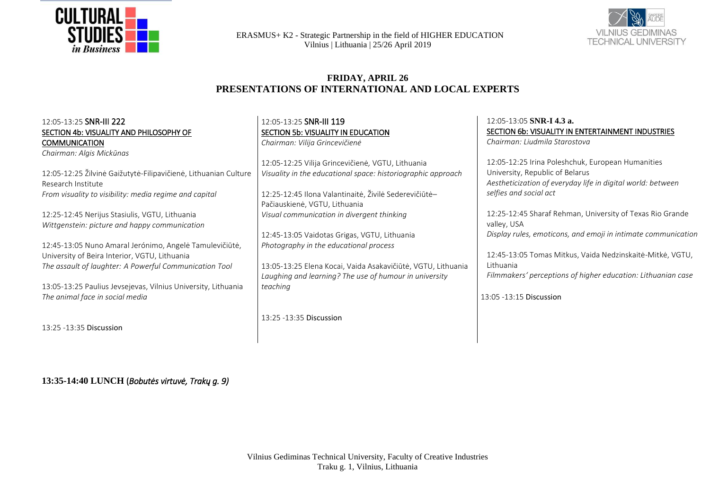



#### **FRIDAY, APRIL 26 PRESENTATIONS OF INTERNATIONAL AND LOCAL EXPERTS**

| 12:05-13:25 SNR-III 222<br>SECTION 4b: VISUALITY AND PHILOSOPHY OF<br><b>COMMUNICATION</b><br>Chairman: Algis Mickūnas<br>12:05-12:25 Žilvinė Gaižutytė-Filipavičienė, Lithuanian Culture<br>Research Institute<br>From visuality to visibility: media regime and capital<br>12:25-12:45 Nerijus Stasiulis, VGTU, Lithuania<br>Wittgenstein: picture and happy communication<br>12:45-13:05 Nuno Amaral Jerónimo, Angelė Tamulevičiūtė,<br>University of Beira Interior, VGTU, Lithuania | 12:05-13:05 SNR-I 4.3 a.<br>12:05-13:25 SNR-III 119<br>SECTION 5b: VISUALITY IN EDUCATION<br>Chairman: Liudmila Starostova<br>Chairman: Vilija Grincevičienė<br>12:05-12:25 Vilija Grincevičienė, VGTU, Lithuania<br>University, Republic of Belarus<br>Visuality in the educational space: historiographic approach<br>selfies and social act<br>12:25-12:45 Ilona Valantinaitė, Živilė Sederevičiūtė-<br>Pačiauskienė, VGTU, Lithuania<br>Visual communication in divergent thinking<br>valley, USA<br>12:45-13:05 Vaidotas Grigas, VGTU, Lithuania<br>Photography in the educational process | SECTION 6b: VISUALITY IN ENTERTAINMENT INDUSTRIES<br>12:05-12:25 Irina Poleshchuk, European Humanities<br>Aestheticization of everyday life in digital world: between<br>12:25-12:45 Sharaf Rehman, University of Texas Rio Grande<br>Display rules, emoticons, and emoji in intimate communication<br>12:45-13:05 Tomas Mitkus, Vaida Nedzinskaitė-Mitkė, VGTU, |
|------------------------------------------------------------------------------------------------------------------------------------------------------------------------------------------------------------------------------------------------------------------------------------------------------------------------------------------------------------------------------------------------------------------------------------------------------------------------------------------|-------------------------------------------------------------------------------------------------------------------------------------------------------------------------------------------------------------------------------------------------------------------------------------------------------------------------------------------------------------------------------------------------------------------------------------------------------------------------------------------------------------------------------------------------------------------------------------------------|------------------------------------------------------------------------------------------------------------------------------------------------------------------------------------------------------------------------------------------------------------------------------------------------------------------------------------------------------------------|
| The assault of laughter: A Powerful Communication Tool                                                                                                                                                                                                                                                                                                                                                                                                                                   | 13:05-13:25 Elena Kocai, Vaida Asakavičiūtė, VGTU, Lithuania<br>Laughing and learning? The use of humour in university                                                                                                                                                                                                                                                                                                                                                                                                                                                                          | Lithuania<br>Filmmakers' perceptions of higher education: Lithuanian case                                                                                                                                                                                                                                                                                        |
| 13:05-13:25 Paulius Jevsejevas, Vilnius University, Lithuania<br>The animal face in social media                                                                                                                                                                                                                                                                                                                                                                                         | teaching                                                                                                                                                                                                                                                                                                                                                                                                                                                                                                                                                                                        | 13:05 - 13:15 Discussion                                                                                                                                                                                                                                                                                                                                         |
| 13:25 - 13:35 Discussion                                                                                                                                                                                                                                                                                                                                                                                                                                                                 | 13:25 - 13:35 Discussion                                                                                                                                                                                                                                                                                                                                                                                                                                                                                                                                                                        |                                                                                                                                                                                                                                                                                                                                                                  |

**13:35-14:40 LUNCH** (*Bobutės virtuvė, Trakų g. 9)*